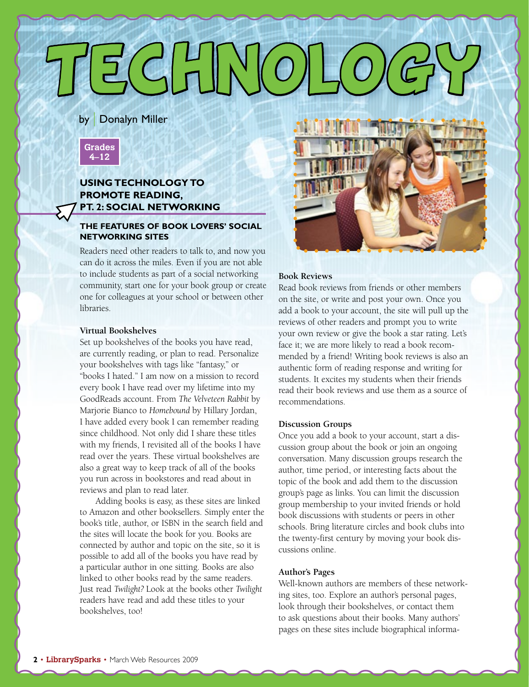# $E$ C $|$  $H$  $N$ (C

by | Donalyn Miller



## **Using Technology to Promote Reading, Pt. 2: Social Networking**

### **The Features of Book Lovers' Social Networking Sites**

Readers need other readers to talk to, and now you can do it across the miles. Even if you are not able to include students as part of a social networking community, start one for your book group or create one for colleagues at your school or between other libraries.

#### **Virtual Bookshelves**

Set up bookshelves of the books you have read, are currently reading, or plan to read. Personalize your bookshelves with tags like "fantasy," or "books I hated." I am now on a mission to record every book I have read over my lifetime into my GoodReads account. From *The Velveteen Rabbit* by Marjorie Bianco to *Homebound* by Hillary Jordan, I have added every book I can remember reading since childhood. Not only did I share these titles with my friends, I revisited all of the books I have read over the years. These virtual bookshelves are also a great way to keep track of all of the books you run across in bookstores and read about in reviews and plan to read later.

Adding books is easy, as these sites are linked to Amazon and other booksellers. Simply enter the book's title, author, or ISBN in the search field and the sites will locate the book for you. Books are connected by author and topic on the site, so it is possible to add all of the books you have read by a particular author in one sitting. Books are also linked to other books read by the same readers. Just read *Twilight?* Look at the books other *Twilight*  readers have read and add these titles to your bookshelves, too!



#### **Book Reviews**

Read book reviews from friends or other members on the site, or write and post your own. Once you add a book to your account, the site will pull up the reviews of other readers and prompt you to write your own review or give the book a star rating. Let's face it; we are more likely to read a book recommended by a friend! Writing book reviews is also an authentic form of reading response and writing for students. It excites my students when their friends read their book reviews and use them as a source of recommendations.

#### **Discussion Groups**

Once you add a book to your account, start a discussion group about the book or join an ongoing conversation. Many discussion groups research the author, time period, or interesting facts about the topic of the book and add them to the discussion group's page as links. You can limit the discussion group membership to your invited friends or hold book discussions with students or peers in other schools. Bring literature circles and book clubs into the twenty-first century by moving your book discussions online.

#### **Author's Pages**

Well-known authors are members of these networking sites, too. Explore an author's personal pages, look through their bookshelves, or contact them to ask questions about their books. Many authors' pages on these sites include biographical informa-